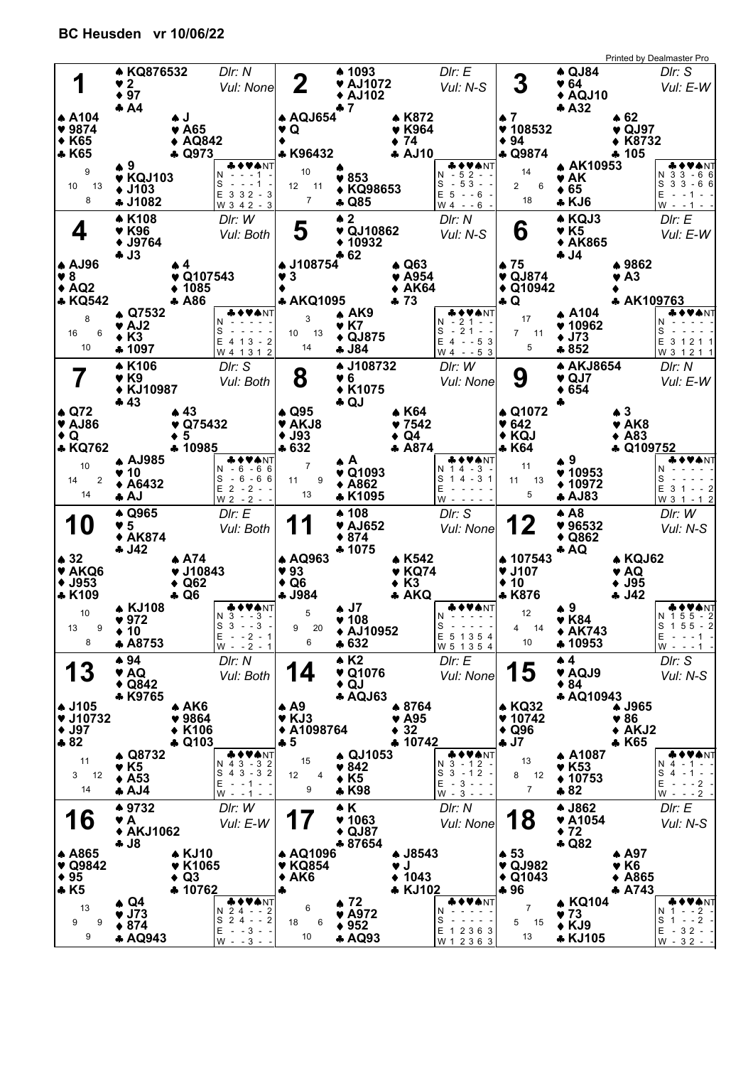